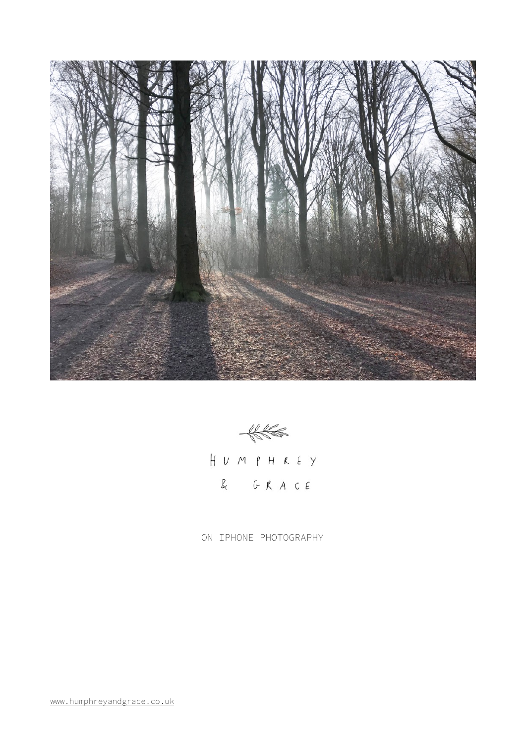

 $#$ 

HUMPHREY  $R$   $G$   $R$   $A$   $C$   $E$ 

ON IPHONE PHOTOGRAPHY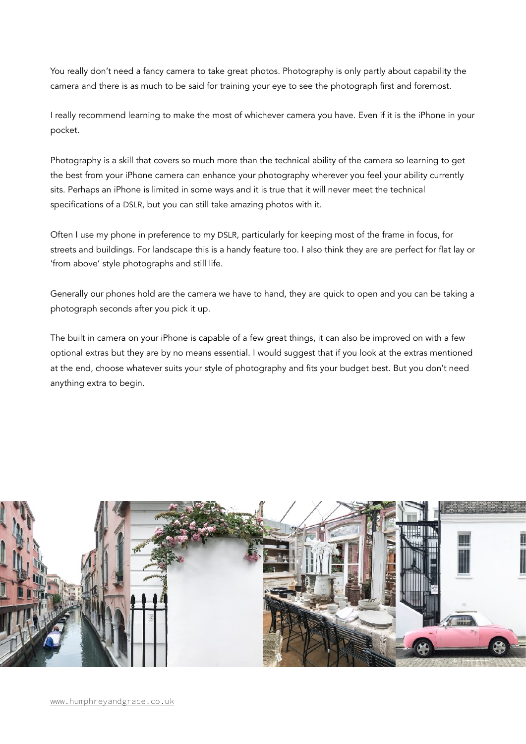You really don't need a fancy camera to take great photos. Photography is only partly about capability the camera and there is as much to be said for training your eye to see the photograph first and foremost.

I really recommend learning to make the most of whichever camera you have. Even if it is the iPhone in your pocket.

Photography is a skill that covers so much more than the technical ability of the camera so learning to get the best from your iPhone camera can enhance your photography wherever you feel your ability currently sits. Perhaps an iPhone is limited in some ways and it is true that it will never meet the technical specifications of a DSLR, but you can still take amazing photos with it.

Often I use my phone in preference to my DSLR, particularly for keeping most of the frame in focus, for streets and buildings. For landscape this is a handy feature too. I also think they are are perfect for flat lay or 'from above' style photographs and still life.

Generally our phones hold are the camera we have to hand, they are quick to open and you can be taking a photograph seconds after you pick it up.

The built in camera on your iPhone is capable of a few great things, it can also be improved on with a few optional extras but they are by no means essential. I would suggest that if you look at the extras mentioned at the end, choose whatever suits your style of photography and fits your budget best. But you don't need anything extra to begin.

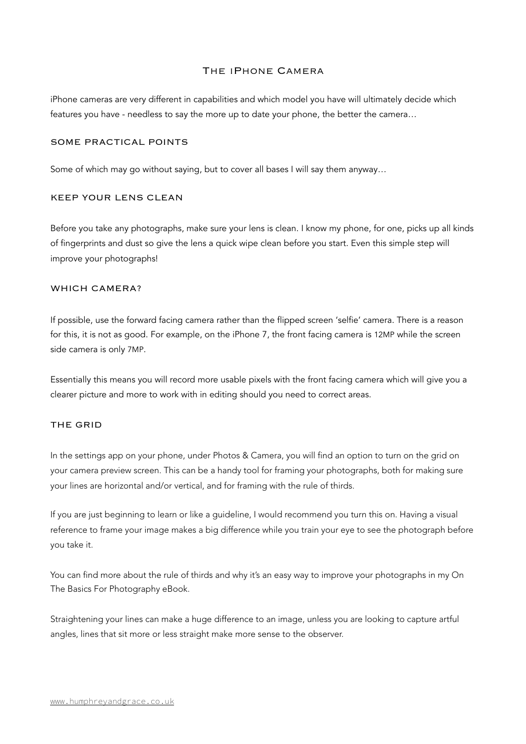# The iPhone Camera

iPhone cameras are very different in capabilities and which model you have will ultimately decide which features you have - needless to say the more up to date your phone, the better the camera…

#### SOME PRACTICAL POINTS

Some of which may go without saying, but to cover all bases I will say them anyway…

#### KEEP YOUR LENS CLEAN

Before you take any photographs, make sure your lens is clean. I know my phone, for one, picks up all kinds of fingerprints and dust so give the lens a quick wipe clean before you start. Even this simple step will improve your photographs!

# WHICH CAMERA?

If possible, use the forward facing camera rather than the flipped screen 'selfie' camera. There is a reason for this, it is not as good. For example, on the iPhone 7, the front facing camera is 12MP while the screen side camera is only 7MP.

Essentially this means you will record more usable pixels with the front facing camera which will give you a clearer picture and more to work with in editing should you need to correct areas.

#### THE GRID

In the settings app on your phone, under Photos & Camera, you will find an option to turn on the grid on your camera preview screen. This can be a handy tool for framing your photographs, both for making sure your lines are horizontal and/or vertical, and for framing with the rule of thirds.

If you are just beginning to learn or like a guideline, I would recommend you turn this on. Having a visual reference to frame your image makes a big difference while you train your eye to see the photograph before you take it.

You can find more about the rule of thirds and why it's an easy way to improve your photographs in my On The Basics For Photography eBook.

Straightening your lines can make a huge difference to an image, unless you are looking to capture artful angles, lines that sit more or less straight make more sense to the observer.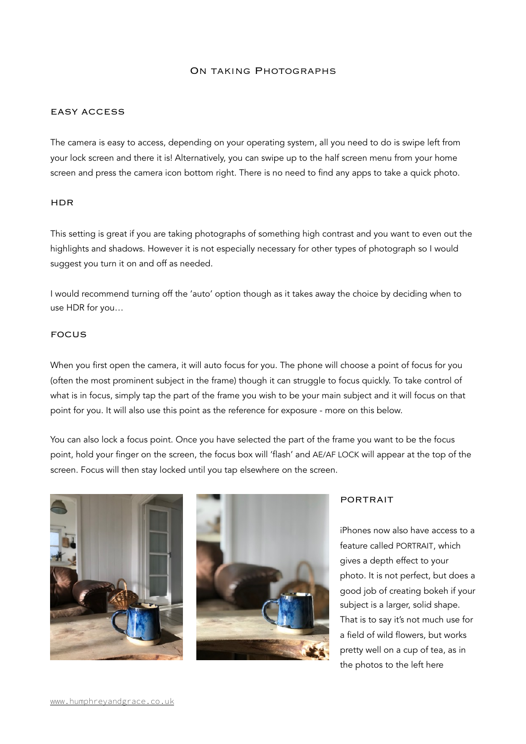### On taking Photographs

### EASY ACCESS

The camera is easy to access, depending on your operating system, all you need to do is swipe left from your lock screen and there it is! Alternatively, you can swipe up to the half screen menu from your home screen and press the camera icon bottom right. There is no need to find any apps to take a quick photo.

#### HDR

This setting is great if you are taking photographs of something high contrast and you want to even out the highlights and shadows. However it is not especially necessary for other types of photograph so I would suggest you turn it on and off as needed.

I would recommend turning off the 'auto' option though as it takes away the choice by deciding when to use HDR for you…

## FOCUS

When you first open the camera, it will auto focus for you. The phone will choose a point of focus for you (often the most prominent subject in the frame) though it can struggle to focus quickly. To take control of what is in focus, simply tap the part of the frame you wish to be your main subject and it will focus on that point for you. It will also use this point as the reference for exposure - more on this below.

You can also lock a focus point. Once you have selected the part of the frame you want to be the focus point, hold your finger on the screen, the focus box will 'flash' and AE/AF LOCK will appear at the top of the screen. Focus will then stay locked until you tap elsewhere on the screen.





#### PORTRAIT

iPhones now also have access to a feature called PORTRAIT, which gives a depth effect to your photo. It is not perfect, but does a good job of creating bokeh if your subject is a larger, solid shape. That is to say it's not much use for a field of wild flowers, but works pretty well on a cup of tea, as in the photos to the left here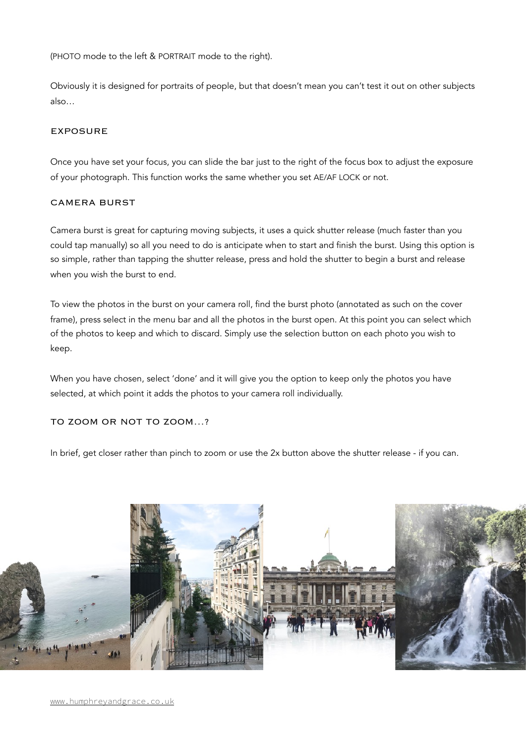(PHOTO mode to the left & PORTRAIT mode to the right).

Obviously it is designed for portraits of people, but that doesn't mean you can't test it out on other subjects also…

# EXPOSURE

Once you have set your focus, you can slide the bar just to the right of the focus box to adjust the exposure of your photograph. This function works the same whether you set AE/AF LOCK or not.

## CAMERA BURST

Camera burst is great for capturing moving subjects, it uses a quick shutter release (much faster than you could tap manually) so all you need to do is anticipate when to start and finish the burst. Using this option is so simple, rather than tapping the shutter release, press and hold the shutter to begin a burst and release when you wish the burst to end.

To view the photos in the burst on your camera roll, find the burst photo (annotated as such on the cover frame), press select in the menu bar and all the photos in the burst open. At this point you can select which of the photos to keep and which to discard. Simply use the selection button on each photo you wish to keep.

When you have chosen, select 'done' and it will give you the option to keep only the photos you have selected, at which point it adds the photos to your camera roll individually.

TO ZOOM OR NOT TO ZOOM…?

In brief, get closer rather than pinch to zoom or use the 2x button above the shutter release - if you can.

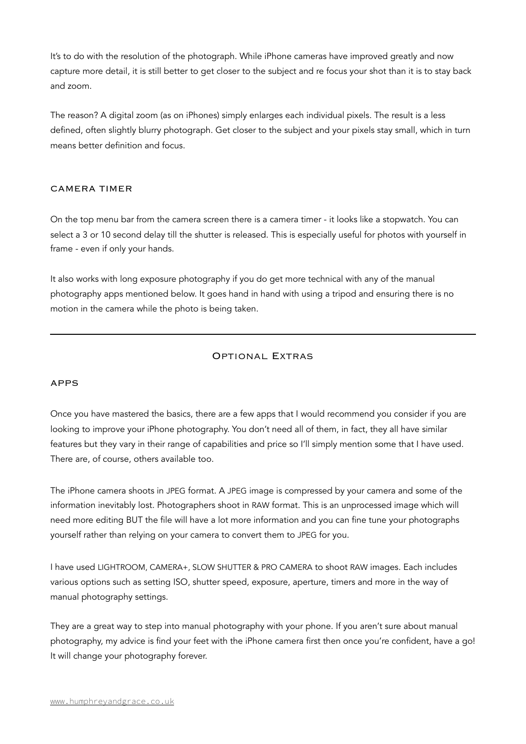It's to do with the resolution of the photograph. While iPhone cameras have improved greatly and now capture more detail, it is still better to get closer to the subject and re focus your shot than it is to stay back and zoom.

The reason? A digital zoom (as on iPhones) simply enlarges each individual pixels. The result is a less defined, often slightly blurry photograph. Get closer to the subject and your pixels stay small, which in turn means better definition and focus.

# CAMERA TIMER

On the top menu bar from the camera screen there is a camera timer - it looks like a stopwatch. You can select a 3 or 10 second delay till the shutter is released. This is especially useful for photos with yourself in frame - even if only your hands.

It also works with long exposure photography if you do get more technical with any of the manual photography apps mentioned below. It goes hand in hand with using a tripod and ensuring there is no motion in the camera while the photo is being taken.

# Optional Extras

# APPS

Once you have mastered the basics, there are a few apps that I would recommend you consider if you are looking to improve your iPhone photography. You don't need all of them, in fact, they all have similar features but they vary in their range of capabilities and price so I'll simply mention some that I have used. There are, of course, others available too.

The iPhone camera shoots in JPEG format. A JPEG image is compressed by your camera and some of the information inevitably lost. Photographers shoot in RAW format. This is an unprocessed image which will need more editing BUT the file will have a lot more information and you can fine tune your photographs yourself rather than relying on your camera to convert them to JPEG for you.

I have used LIGHTROOM, CAMERA+, SLOW SHUTTER & PRO CAMERA to shoot RAW images. Each includes various options such as setting ISO, shutter speed, exposure, aperture, timers and more in the way of manual photography settings.

They are a great way to step into manual photography with your phone. If you aren't sure about manual photography, my advice is find your feet with the iPhone camera first then once you're confident, have a go! It will change your photography forever.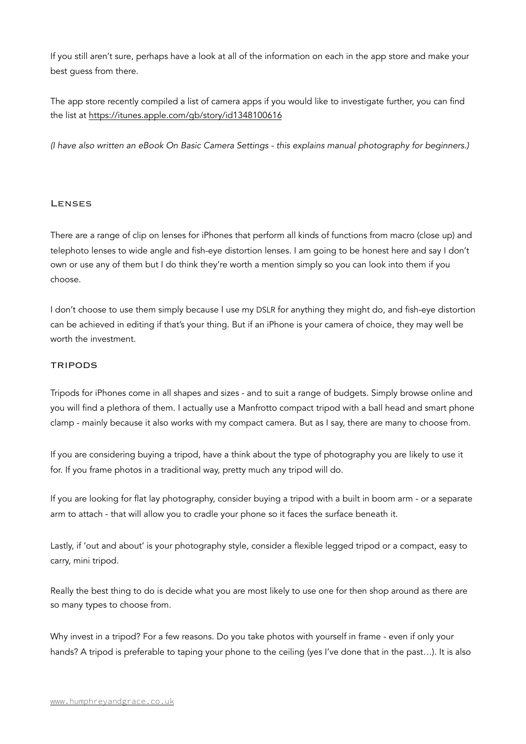If you still aren't sure, perhaps have a look at all of the information on each in the app store and make your best guess from there.

The app store recently compiled a list of camera apps if you would like to investigate further, you can find the list at<https://itunes.apple.com/gb/story/id1348100616>

*(I have also written an eBook On Basic Camera Settings - this explains manual photography for beginners.)*

## Lenses

There are a range of clip on lenses for iPhones that perform all kinds of functions from macro (close up) and telephoto lenses to wide angle and fish-eye distortion lenses. I am going to be honest here and say I don't own or use any of them but I do think they're worth a mention simply so you can look into them if you choose.

I don't choose to use them simply because I use my DSLR for anything they might do, and fish-eye distortion can be achieved in editing if that's your thing. But if an iPhone is your camera of choice, they may well be worth the investment.

## TRIPODS

Tripods for iPhones come in all shapes and sizes - and to suit a range of budgets. Simply browse online and you will find a plethora of them. I actually use a Manfrotto compact tripod with a ball head and smart phone clamp - mainly because it also works with my compact camera. But as I say, there are many to choose from.

If you are considering buying a tripod, have a think about the type of photography you are likely to use it for. If you frame photos in a traditional way, pretty much any tripod will do.

If you are looking for flat lay photography, consider buying a tripod with a built in boom arm - or a separate arm to attach - that will allow you to cradle your phone so it faces the surface beneath it.

Lastly, if 'out and about' is your photography style, consider a flexible legged tripod or a compact, easy to carry, mini tripod.

Really the best thing to do is decide what you are most likely to use one for then shop around as there are so many types to choose from.

Why invest in a tripod? For a few reasons. Do you take photos with yourself in frame - even if only your hands? A tripod is preferable to taping your phone to the ceiling (yes I've done that in the past…). It is also